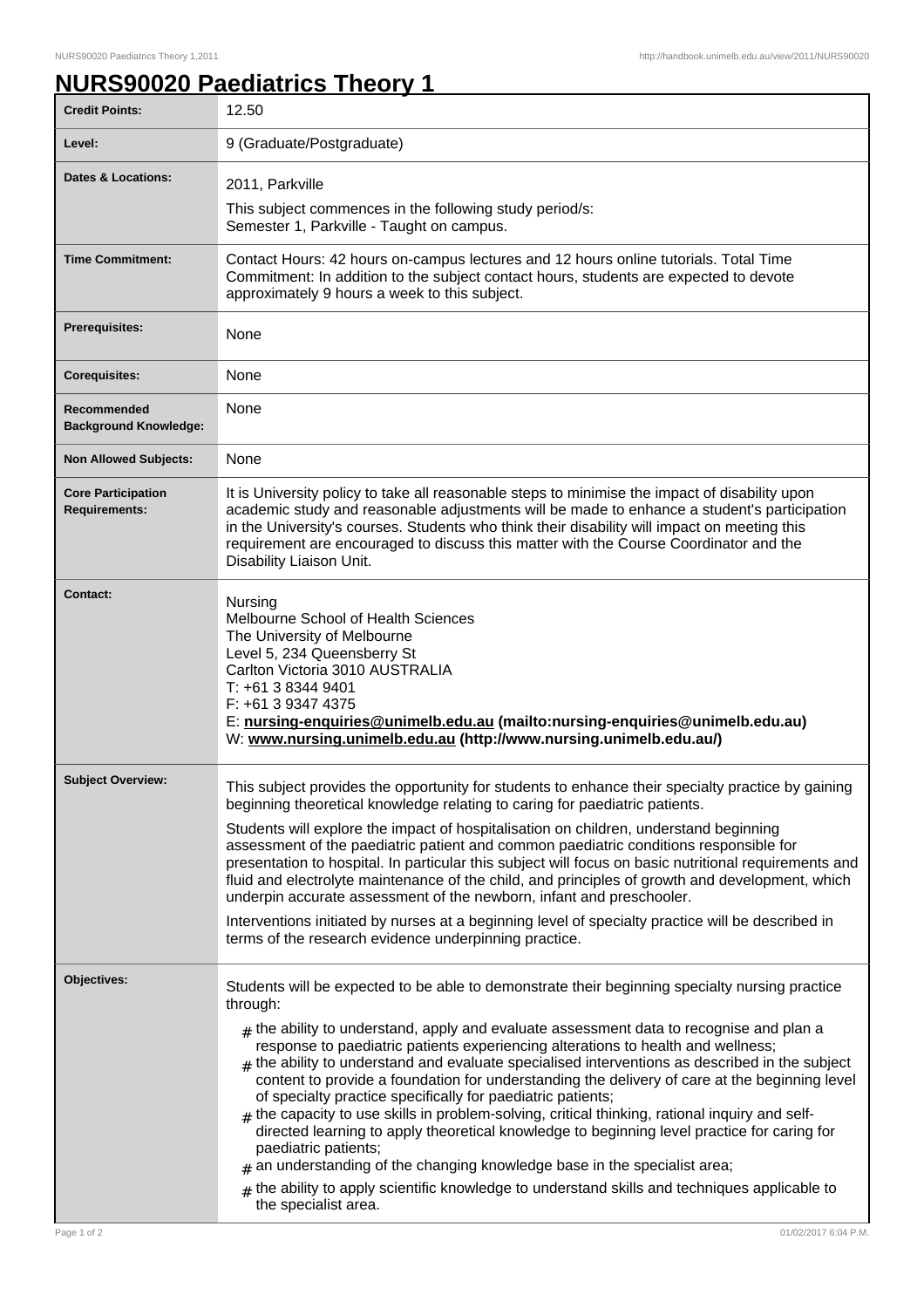## **NURS90020 Paediatrics Theory 1**

| <b>Credit Points:</b>                             | 12.50                                                                                                                                                                                                                                                                                                                                                                                                                                                                                                                                                                                                                                                                                                                                                                                                                                                                                                                                                                                                    |
|---------------------------------------------------|----------------------------------------------------------------------------------------------------------------------------------------------------------------------------------------------------------------------------------------------------------------------------------------------------------------------------------------------------------------------------------------------------------------------------------------------------------------------------------------------------------------------------------------------------------------------------------------------------------------------------------------------------------------------------------------------------------------------------------------------------------------------------------------------------------------------------------------------------------------------------------------------------------------------------------------------------------------------------------------------------------|
| Level:                                            | 9 (Graduate/Postgraduate)                                                                                                                                                                                                                                                                                                                                                                                                                                                                                                                                                                                                                                                                                                                                                                                                                                                                                                                                                                                |
| <b>Dates &amp; Locations:</b>                     | 2011, Parkville<br>This subject commences in the following study period/s:<br>Semester 1, Parkville - Taught on campus.                                                                                                                                                                                                                                                                                                                                                                                                                                                                                                                                                                                                                                                                                                                                                                                                                                                                                  |
| <b>Time Commitment:</b>                           | Contact Hours: 42 hours on-campus lectures and 12 hours online tutorials. Total Time<br>Commitment: In addition to the subject contact hours, students are expected to devote<br>approximately 9 hours a week to this subject.                                                                                                                                                                                                                                                                                                                                                                                                                                                                                                                                                                                                                                                                                                                                                                           |
| Prerequisites:                                    | None                                                                                                                                                                                                                                                                                                                                                                                                                                                                                                                                                                                                                                                                                                                                                                                                                                                                                                                                                                                                     |
| <b>Corequisites:</b>                              | None                                                                                                                                                                                                                                                                                                                                                                                                                                                                                                                                                                                                                                                                                                                                                                                                                                                                                                                                                                                                     |
| Recommended<br><b>Background Knowledge:</b>       | None                                                                                                                                                                                                                                                                                                                                                                                                                                                                                                                                                                                                                                                                                                                                                                                                                                                                                                                                                                                                     |
| <b>Non Allowed Subjects:</b>                      | None                                                                                                                                                                                                                                                                                                                                                                                                                                                                                                                                                                                                                                                                                                                                                                                                                                                                                                                                                                                                     |
| <b>Core Participation</b><br><b>Requirements:</b> | It is University policy to take all reasonable steps to minimise the impact of disability upon<br>academic study and reasonable adjustments will be made to enhance a student's participation<br>in the University's courses. Students who think their disability will impact on meeting this<br>requirement are encouraged to discuss this matter with the Course Coordinator and the<br>Disability Liaison Unit.                                                                                                                                                                                                                                                                                                                                                                                                                                                                                                                                                                                       |
| Contact:                                          | Nursing<br>Melbourne School of Health Sciences<br>The University of Melbourne<br>Level 5, 234 Queensberry St<br>Carlton Victoria 3010 AUSTRALIA<br>T: +61 3 8344 9401<br>F: +61 3 9347 4375<br>E: nursing-enquiries@unimelb.edu.au (mailto:nursing-enquiries@unimelb.edu.au)<br>W: www.nursing.unimelb.edu.au (http://www.nursing.unimelb.edu.au/)                                                                                                                                                                                                                                                                                                                                                                                                                                                                                                                                                                                                                                                       |
| <b>Subject Overview:</b>                          | This subject provides the opportunity for students to enhance their specialty practice by gaining<br>beginning theoretical knowledge relating to caring for paediatric patients.<br>Students will explore the impact of hospitalisation on children, understand beginning<br>assessment of the paediatric patient and common paediatric conditions responsible for<br>presentation to hospital. In particular this subject will focus on basic nutritional requirements and<br>fluid and electrolyte maintenance of the child, and principles of growth and development, which<br>underpin accurate assessment of the newborn, infant and preschooler.<br>Interventions initiated by nurses at a beginning level of specialty practice will be described in<br>terms of the research evidence underpinning practice.                                                                                                                                                                                     |
| Objectives:                                       | Students will be expected to be able to demonstrate their beginning specialty nursing practice<br>through:<br>$_{\#}$ the ability to understand, apply and evaluate assessment data to recognise and plan a<br>response to paediatric patients experiencing alterations to health and wellness;<br>$#$ the ability to understand and evaluate specialised interventions as described in the subject<br>content to provide a foundation for understanding the delivery of care at the beginning level<br>of specialty practice specifically for paediatric patients;<br>$#$ the capacity to use skills in problem-solving, critical thinking, rational inquiry and self-<br>directed learning to apply theoretical knowledge to beginning level practice for caring for<br>paediatric patients;<br>$#$ an understanding of the changing knowledge base in the specialist area;<br>$#$ the ability to apply scientific knowledge to understand skills and techniques applicable to<br>the specialist area. |